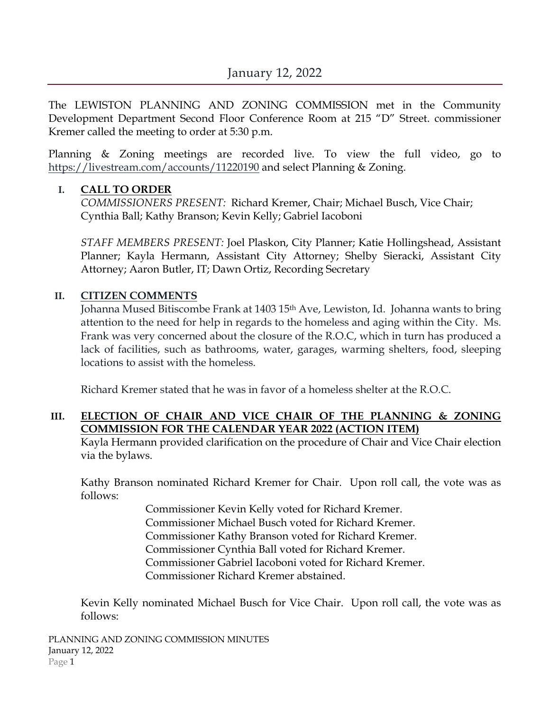The LEWISTON PLANNING AND ZONING COMMISSION met in the Community Development Department Second Floor Conference Room at 215 "D" Street. commissioner Kremer called the meeting to order at 5:30 p.m.

Planning & Zoning meetings are recorded live. To view the full video, go to <https://livestream.com/accounts/11220190> and select Planning & Zoning.

## **I. CALL TO ORDER**

*COMMISSIONERS PRESENT:* Richard Kremer, Chair; Michael Busch, Vice Chair; Cynthia Ball; Kathy Branson; Kevin Kelly; Gabriel Iacoboni

*STAFF MEMBERS PRESENT:* Joel Plaskon, City Planner; Katie Hollingshead, Assistant Planner; Kayla Hermann, Assistant City Attorney; Shelby Sieracki, Assistant City Attorney; Aaron Butler, IT; Dawn Ortiz, Recording Secretary

#### **II. CITIZEN COMMENTS**

Johanna Mused Bitiscombe Frank at 1403 15th Ave, Lewiston, Id. Johanna wants to bring attention to the need for help in regards to the homeless and aging within the City. Ms. Frank was very concerned about the closure of the R.O.C, which in turn has produced a lack of facilities, such as bathrooms, water, garages, warming shelters, food, sleeping locations to assist with the homeless.

Richard Kremer stated that he was in favor of a homeless shelter at the R.O.C.

## **III. ELECTION OF CHAIR AND VICE CHAIR OF THE PLANNING & ZONING COMMISSION FOR THE CALENDAR YEAR 2022 (ACTION ITEM)**

Kayla Hermann provided clarification on the procedure of Chair and Vice Chair election via the bylaws.

Kathy Branson nominated Richard Kremer for Chair. Upon roll call, the vote was as follows:

> Commissioner Kevin Kelly voted for Richard Kremer. Commissioner Michael Busch voted for Richard Kremer. Commissioner Kathy Branson voted for Richard Kremer. Commissioner Cynthia Ball voted for Richard Kremer. Commissioner Gabriel Iacoboni voted for Richard Kremer. Commissioner Richard Kremer abstained.

Kevin Kelly nominated Michael Busch for Vice Chair. Upon roll call, the vote was as follows:

PLANNING AND ZONING COMMISSION MINUTES January 12, 2022 Page 1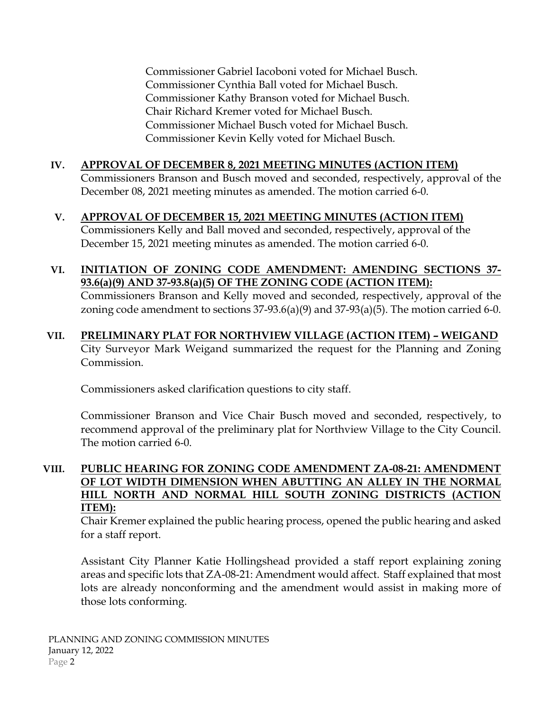Commissioner Gabriel Iacoboni voted for Michael Busch. Commissioner Cynthia Ball voted for Michael Busch. Commissioner Kathy Branson voted for Michael Busch. Chair Richard Kremer voted for Michael Busch. Commissioner Michael Busch voted for Michael Busch. Commissioner Kevin Kelly voted for Michael Busch.

# **IV. APPROVAL OF DECEMBER 8, 2021 MEETING MINUTES (ACTION ITEM)**

Commissioners Branson and Busch moved and seconded, respectively, approval of the December 08, 2021 meeting minutes as amended. The motion carried 6-0.

**V. APPROVAL OF DECEMBER 15, 2021 MEETING MINUTES (ACTION ITEM)** Commissioners Kelly and Ball moved and seconded, respectively, approval of the December 15, 2021 meeting minutes as amended. The motion carried 6-0.

## **VI. INITIATION OF ZONING CODE AMENDMENT: AMENDING SECTIONS 37- 93.6(a)(9) AND 37-93.8(a)(5) OF THE ZONING CODE (ACTION ITEM):**

Commissioners Branson and Kelly moved and seconded, respectively, approval of the zoning code amendment to sections  $37-93.6(a)(9)$  and  $37-93(a)(5)$ . The motion carried 6-0.

## **VII. PRELIMINARY PLAT FOR NORTHVIEW VILLAGE (ACTION ITEM) – WEIGAND** City Surveyor Mark Weigand summarized the request for the Planning and Zoning Commission.

Commissioners asked clarification questions to city staff.

Commissioner Branson and Vice Chair Busch moved and seconded, respectively, to recommend approval of the preliminary plat for Northview Village to the City Council. The motion carried 6-0.

#### **VIII. PUBLIC HEARING FOR ZONING CODE AMENDMENT ZA-08-21: AMENDMENT OF LOT WIDTH DIMENSION WHEN ABUTTING AN ALLEY IN THE NORMAL HILL NORTH AND NORMAL HILL SOUTH ZONING DISTRICTS (ACTION ITEM):**

Chair Kremer explained the public hearing process, opened the public hearing and asked for a staff report.

Assistant City Planner Katie Hollingshead provided a staff report explaining zoning areas and specific lots that ZA-08-21: Amendment would affect. Staff explained that most lots are already nonconforming and the amendment would assist in making more of those lots conforming.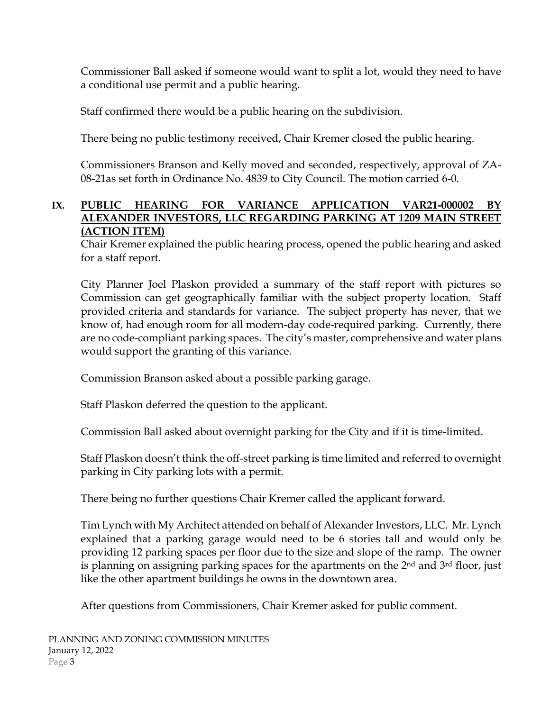Commissioner Ball asked if someone would want to split a lot, would they need to have a conditional use permit and a public hearing.

Staff confirmed there would be a public hearing on the subdivision.

There being no public testimony received, Chair Kremer closed the public hearing.

Commissioners Branson and Kelly moved and seconded, respectively, approval of ZA-08-21as set forth in Ordinance No. 4839 to City Council. The motion carried 6-0.

### **IX. PUBLIC HEARING FOR VARIANCE APPLICATION VAR21-000002 BY ALEXANDER INVESTORS, LLC REGARDING PARKING AT 1209 MAIN STREET (ACTION ITEM)**

Chair Kremer explained the public hearing process, opened the public hearing and asked for a staff report.

City Planner Joel Plaskon provided a summary of the staff report with pictures so Commission can get geographically familiar with the subject property location. Staff provided criteria and standards for variance. The subject property has never, that we know of, had enough room for all modern-day code-required parking. Currently, there are no code-compliant parking spaces. The city's master, comprehensive and water plans would support the granting of this variance.

Commission Branson asked about a possible parking garage.

Staff Plaskon deferred the question to the applicant.

Commission Ball asked about overnight parking for the City and if it is time-limited.

Staff Plaskon doesn't think the off-street parking is time limited and referred to overnight parking in City parking lots with a permit.

There being no further questions Chair Kremer called the applicant forward.

Tim Lynch with My Architect attended on behalf of Alexander Investors, LLC. Mr. Lynch explained that a parking garage would need to be 6 stories tall and would only be providing 12 parking spaces per floor due to the size and slope of the ramp. The owner is planning on assigning parking spaces for the apartments on the  $2<sup>nd</sup>$  and  $3<sup>rd</sup>$  floor, just like the other apartment buildings he owns in the downtown area.

After questions from Commissioners, Chair Kremer asked for public comment.

PLANNING AND ZONING COMMISSION MINUTES January 12, 2022 Page 3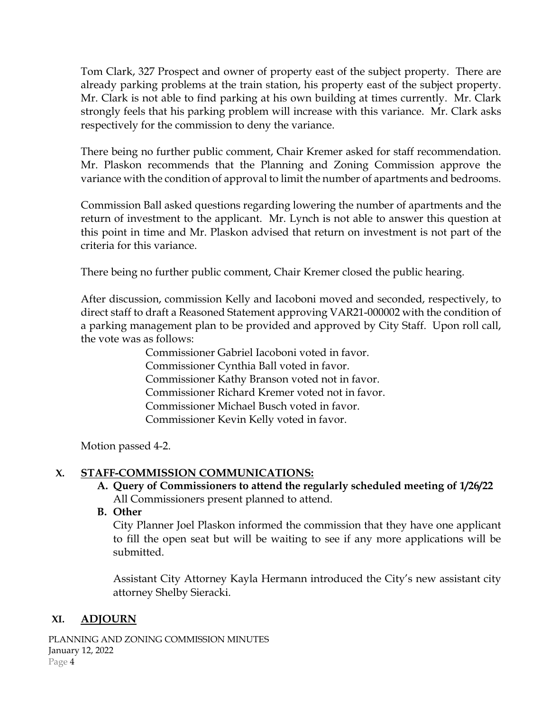Tom Clark, 327 Prospect and owner of property east of the subject property. There are already parking problems at the train station, his property east of the subject property. Mr. Clark is not able to find parking at his own building at times currently. Mr. Clark strongly feels that his parking problem will increase with this variance. Mr. Clark asks respectively for the commission to deny the variance.

There being no further public comment, Chair Kremer asked for staff recommendation. Mr. Plaskon recommends that the Planning and Zoning Commission approve the variance with the condition of approval to limit the number of apartments and bedrooms.

Commission Ball asked questions regarding lowering the number of apartments and the return of investment to the applicant. Mr. Lynch is not able to answer this question at this point in time and Mr. Plaskon advised that return on investment is not part of the criteria for this variance.

There being no further public comment, Chair Kremer closed the public hearing.

After discussion, commission Kelly and Iacoboni moved and seconded, respectively, to direct staff to draft a Reasoned Statement approving VAR21-000002 with the condition of a parking management plan to be provided and approved by City Staff. Upon roll call, the vote was as follows:

> Commissioner Gabriel Iacoboni voted in favor. Commissioner Cynthia Ball voted in favor. Commissioner Kathy Branson voted not in favor. Commissioner Richard Kremer voted not in favor. Commissioner Michael Busch voted in favor. Commissioner Kevin Kelly voted in favor.

Motion passed 4-2.

## **X. STAFF-COMMISSION COMMUNICATIONS:**

**A. Query of Commissioners to attend the regularly scheduled meeting of 1/26/22** All Commissioners present planned to attend.

## **B. Other**

City Planner Joel Plaskon informed the commission that they have one applicant to fill the open seat but will be waiting to see if any more applications will be submitted.

Assistant City Attorney Kayla Hermann introduced the City's new assistant city attorney Shelby Sieracki.

## **XI. ADJOURN**

PLANNING AND ZONING COMMISSION MINUTES January 12, 2022 Page 4